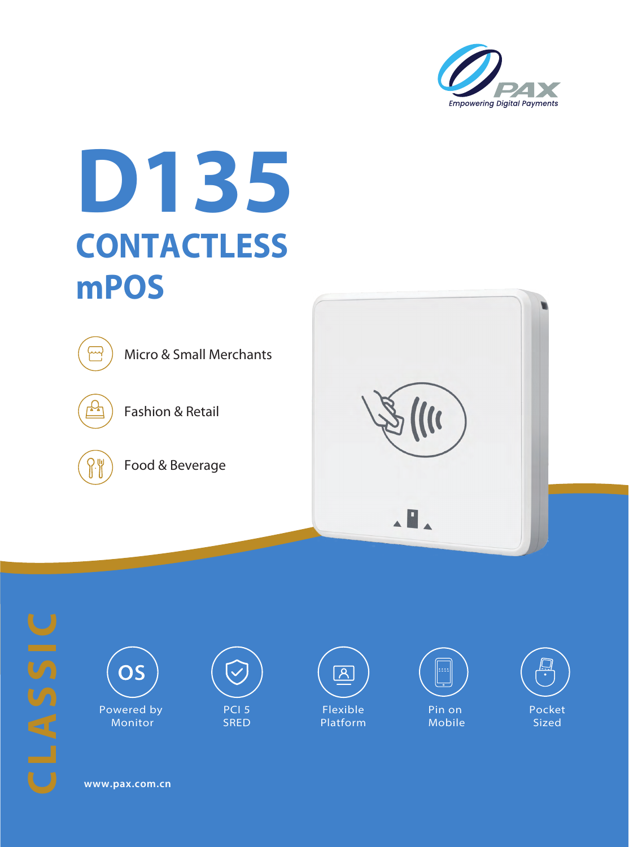

## **D135 CONTACTLESS mPOS**



Fashion & Retail

Food & Beverage







Monitor



SRED







**www.pax.com.cn**